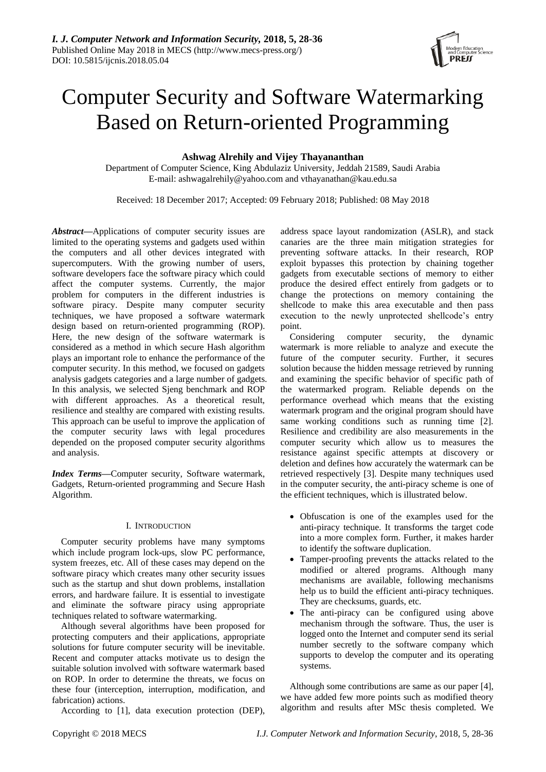

# Computer Security and Software Watermarking Based on Return-oriented Programming

# **Ashwag Alrehily and Vijey Thayananthan**

Department of Computer Science, King Abdulaziz University, Jeddah 21589, Saudi Arabia E-mail: ashwagalrehily@yahoo.com and vthayanathan@kau.edu.sa

Received: 18 December 2017; Accepted: 09 February 2018; Published: 08 May 2018

*Abstract***—**Applications of computer security issues are limited to the operating systems and gadgets used within the computers and all other devices integrated with supercomputers. With the growing number of users, software developers face the software piracy which could affect the computer systems. Currently, the major problem for computers in the different industries is software piracy. Despite many computer security techniques, we have proposed a software watermark design based on return-oriented programming (ROP). Here, the new design of the software watermark is considered as a method in which secure Hash algorithm plays an important role to enhance the performance of the computer security. In this method, we focused on gadgets analysis gadgets categories and a large number of gadgets. In this analysis, we selected Sjeng benchmark and ROP with different approaches. As a theoretical result, resilience and stealthy are compared with existing results. This approach can be useful to improve the application of the computer security laws with legal procedures depended on the proposed computer security algorithms and analysis.

*Index Terms***—**Computer security, Software watermark, Gadgets, Return-oriented programming and Secure Hash Algorithm.

# I. INTRODUCTION

Computer security problems have many symptoms which include program lock-ups, slow PC performance, system freezes, etc. All of these cases may depend on the software piracy which creates many other security issues such as the startup and shut down problems, installation errors, and hardware failure. It is essential to investigate and eliminate the software piracy using appropriate techniques related to software watermarking.

Although several algorithms have been proposed for protecting computers and their applications, appropriate solutions for future computer security will be inevitable. Recent and computer attacks motivate us to design the suitable solution involved with software watermark based on ROP. In order to determine the threats, we focus on these four (interception, interruption, modification, and fabrication) actions.

According to [1], data execution protection (DEP),

address space layout randomization (ASLR), and stack canaries are the three main mitigation strategies for preventing software attacks. In their research, ROP exploit bypasses this protection by chaining together gadgets from executable sections of memory to either produce the desired effect entirely from gadgets or to change the protections on memory containing the shellcode to make this area executable and then pass execution to the newly unprotected shellcode's entry point.

Considering computer security, the dynamic watermark is more reliable to analyze and execute the future of the computer security. Further, it secures solution because the hidden message retrieved by running and examining the specific behavior of specific path of the watermarked program. Reliable depends on the performance overhead which means that the existing watermark program and the original program should have same working conditions such as running time [2]. Resilience and credibility are also measurements in the computer security which allow us to measures the resistance against specific attempts at discovery or deletion and defines how accurately the watermark can be retrieved respectively [3]. Despite many techniques used in the computer security, the anti-piracy scheme is one of the efficient techniques, which is illustrated below.

- Obfuscation is one of the examples used for the anti-piracy technique. It transforms the target code into a more complex form. Further, it makes harder to identify the software duplication.
- Tamper-proofing prevents the attacks related to the modified or altered programs. Although many mechanisms are available, following mechanisms help us to build the efficient anti-piracy techniques. They are checksums, guards, etc.
- The anti-piracy can be configured using above mechanism through the software. Thus, the user is logged onto the Internet and computer send its serial number secretly to the software company which supports to develop the computer and its operating systems.

Although some contributions are same as our paper [4], we have added few more points such as modified theory algorithm and results after MSc thesis completed. We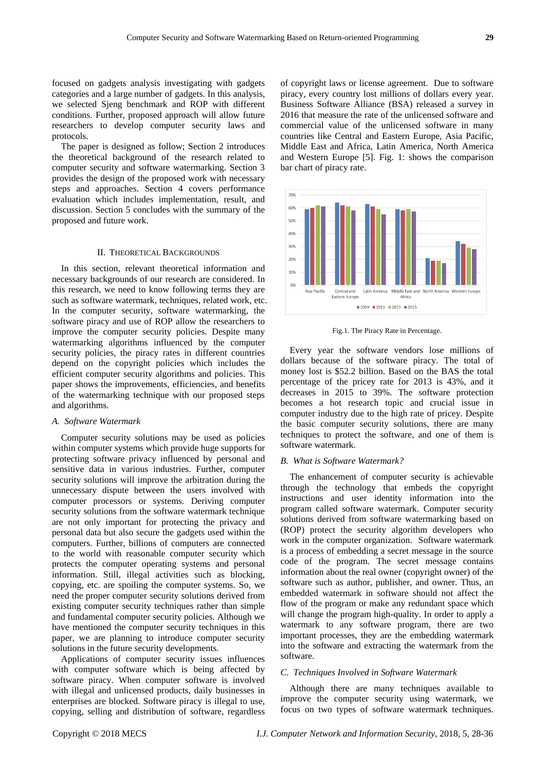focused on gadgets analysis investigating with gadgets categories and a large number of gadgets. In this analysis, we selected Sjeng benchmark and ROP with different conditions. Further, proposed approach will allow future researchers to develop computer security laws and protocols.

The paper is designed as follow; Section 2 introduces the theoretical background of the research related to computer security and software watermarking. Section 3 provides the design of the proposed work with necessary steps and approaches. Section 4 covers performance evaluation which includes implementation, result, and discussion. Section 5 concludes with the summary of the proposed and future work.

## II. THEORETICAL BACKGROUNDS

In this section, relevant theoretical information and necessary backgrounds of our research are considered. In this research, we need to know following terms they are such as software watermark, techniques, related work, etc. In the computer security, software watermarking, the software piracy and use of ROP allow the researchers to improve the computer security policies. Despite many watermarking algorithms influenced by the computer security policies, the piracy rates in different countries depend on the copyright policies which includes the efficient computer security algorithms and policies. This paper shows the improvements, efficiencies, and benefits of the watermarking technique with our proposed steps and algorithms.

## *A. Software Watermark*

Computer security solutions may be used as policies within computer systems which provide huge supports for protecting software privacy influenced by personal and sensitive data in various industries. Further, computer security solutions will improve the arbitration during the unnecessary dispute between the users involved with computer processors or systems. Deriving computer security solutions from the software watermark technique are not only important for protecting the privacy and personal data but also secure the gadgets used within the computers. Further, billions of computers are connected to the world with reasonable computer security which protects the computer operating systems and personal information. Still, illegal activities such as blocking, copying, etc. are spoiling the computer systems. So, we need the proper computer security solutions derived from existing computer security techniques rather than simple and fundamental computer security policies. Although we have mentioned the computer security techniques in this paper, we are planning to introduce computer security solutions in the future security developments.

Applications of computer security issues influences with computer software which is being affected by software piracy. When computer software is involved with illegal and unlicensed products, daily businesses in enterprises are blocked. Software piracy is illegal to use, copying, selling and distribution of software, regardless of copyright laws or license agreement. Due to software piracy, every country lost millions of dollars every year. Business Software Alliance (BSA) released a survey in 2016 that measure the rate of the unlicensed software and commercial value of the unlicensed software in many countries like Central and Eastern Europe, Asia Pacific, Middle East and Africa, Latin America, North America and Western Europe [5]. Fig. 1: shows the comparison bar chart of piracy rate.



Fig.1. The Piracy Rate in Percentage.

Every year the software vendors lose millions of dollars because of the software piracy. The total of money lost is \$52.2 billion. Based on the BAS the total percentage of the pricey rate for 2013 is 43%, and it decreases in 2015 to 39%. The software protection becomes a hot research topic and crucial issue in computer industry due to the high rate of pricey. Despite the basic computer security solutions, there are many techniques to protect the software, and one of them is software watermark.

## *B. What is Software Watermark?*

The enhancement of computer security is achievable through the technology that embeds the copyright instructions and user identity information into the program called software watermark. Computer security solutions derived from software watermarking based on (ROP) protect the security algorithm developers who work in the computer organization. Software watermark is a process of embedding a secret message in the source code of the program. The secret message contains information about the real owner (copyright owner) of the software such as author, publisher, and owner. Thus, an embedded watermark in software should not affect the flow of the program or make any redundant space which will change the program high-quality. In order to apply a watermark to any software program, there are two important processes, they are the embedding watermark into the software and extracting the watermark from the software.

#### *C. Techniques Involved in Software Watermark*

Although there are many techniques available to improve the computer security using watermark, we focus on two types of software watermark techniques.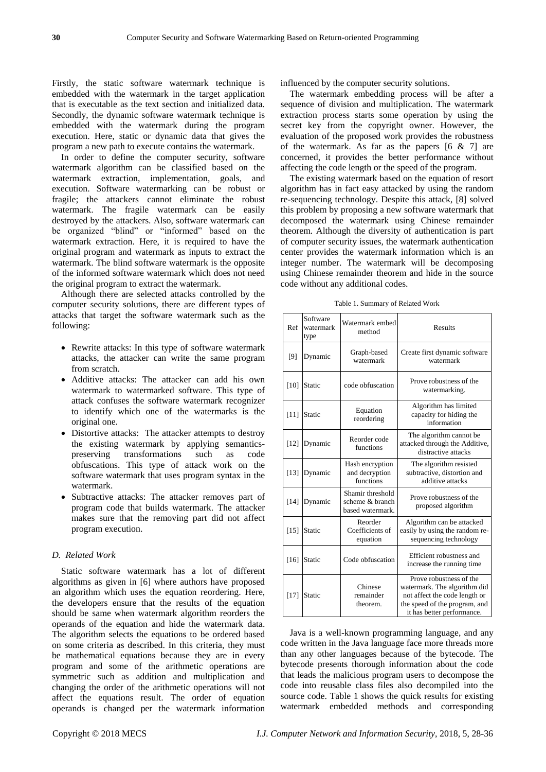Firstly, the static software watermark technique is embedded with the watermark in the target application that is executable as the text section and initialized data. Secondly, the dynamic software watermark technique is embedded with the watermark during the program execution. Here, static or dynamic data that gives the program a new path to execute contains the watermark.

In order to define the computer security, software watermark algorithm can be classified based on the watermark extraction, implementation, goals, and execution. Software watermarking can be robust or fragile; the attackers cannot eliminate the robust watermark. The fragile watermark can be easily destroyed by the attackers. Also, software watermark can be organized "blind" or "informed" based on the watermark extraction. Here, it is required to have the original program and watermark as inputs to extract the watermark. The blind software watermark is the opposite of the informed software watermark which does not need the original program to extract the watermark.

Although there are selected attacks controlled by the computer security solutions, there are different types of attacks that target the software watermark such as the following:

- Rewrite attacks: In this type of software watermark attacks, the attacker can write the same program from scratch.
- Additive attacks: The attacker can add his own watermark to watermarked software. This type of attack confuses the software watermark recognizer to identify which one of the watermarks is the original one.
- Distortive attacks: The attacker attempts to destroy the existing watermark by applying semanticspreserving transformations such as code obfuscations. This type of attack work on the software watermark that uses program syntax in the watermark.
- Subtractive attacks: The attacker removes part of program code that builds watermark. The attacker makes sure that the removing part did not affect program execution.

#### *D. Related Work*

Static software watermark has a lot of different algorithms as given in [6] where authors have proposed an algorithm which uses the equation reordering. Here, the developers ensure that the results of the equation should be same when watermark algorithm reorders the operands of the equation and hide the watermark data. The algorithm selects the equations to be ordered based on some criteria as described. In this criteria, they must be mathematical equations because they are in every program and some of the arithmetic operations are symmetric such as addition and multiplication and changing the order of the arithmetic operations will not affect the equations result. The order of equation operands is changed per the watermark information influenced by the computer security solutions.

The watermark embedding process will be after a sequence of division and multiplication. The watermark extraction process starts some operation by using the secret key from the copyright owner. However, the evaluation of the proposed work provides the robustness of the watermark. As far as the papers  $[6 \& 7]$  are concerned, it provides the better performance without affecting the code length or the speed of the program.

The existing watermark based on the equation of resort algorithm has in fact easy attacked by using the random re-sequencing technology. Despite this attack, [8] solved this problem by proposing a new software watermark that decomposed the watermark using Chinese remainder theorem. Although the diversity of authentication is part of computer security issues, the watermark authentication center provides the watermark information which is an integer number. The watermark will be decomposing using Chinese remainder theorem and hide in the source code without any additional codes.

Table 1. Summary of Related Work

| Ref    | Software<br>watermark<br>type | Watermark embed<br>method                               | Results                                                                                                                                                 |
|--------|-------------------------------|---------------------------------------------------------|---------------------------------------------------------------------------------------------------------------------------------------------------------|
| [9]    | Dynamic                       | Graph-based<br>watermark                                | Create first dynamic software<br>watermark                                                                                                              |
| [10]   | Static                        | code obfuscation                                        | Prove robustness of the<br>watermarking.                                                                                                                |
| $[11]$ | Static                        | Equation<br>reordering                                  | Algorithm has limited<br>capacity for hiding the<br>information                                                                                         |
| $[12]$ | Dynamic                       | Reorder code<br>functions                               | The algorithm cannot be<br>attacked through the Additive,<br>distractive attacks                                                                        |
| [13]   | Dynamic                       | Hash encryption<br>and decryption<br>functions          | The algorithm resisted<br>subtractive, distortion and<br>additive attacks                                                                               |
| $[14]$ | Dynamic                       | Shamir threshold<br>scheme & branch<br>based watermark. | Prove robustness of the<br>proposed algorithm                                                                                                           |
| $[15]$ | Static                        | Reorder<br>Coefficients of<br>equation                  | Algorithm can be attacked<br>easily by using the random re-<br>sequencing technology                                                                    |
| $[16]$ | Static                        | Code obfuscation                                        | Efficient robustness and<br>increase the running time                                                                                                   |
| $[17]$ | Static                        | Chinese<br>remainder<br>theorem.                        | Prove robustness of the<br>watermark. The algorithm did<br>not affect the code length or<br>the speed of the program, and<br>it has better performance. |

Java is a well-known programming language, and any code written in the Java language face more threads more than any other languages because of the bytecode. The bytecode presents thorough information about the code that leads the malicious program users to decompose the code into reusable class files also decompiled into the source code. Table 1 shows the quick results for existing watermark embedded methods and corresponding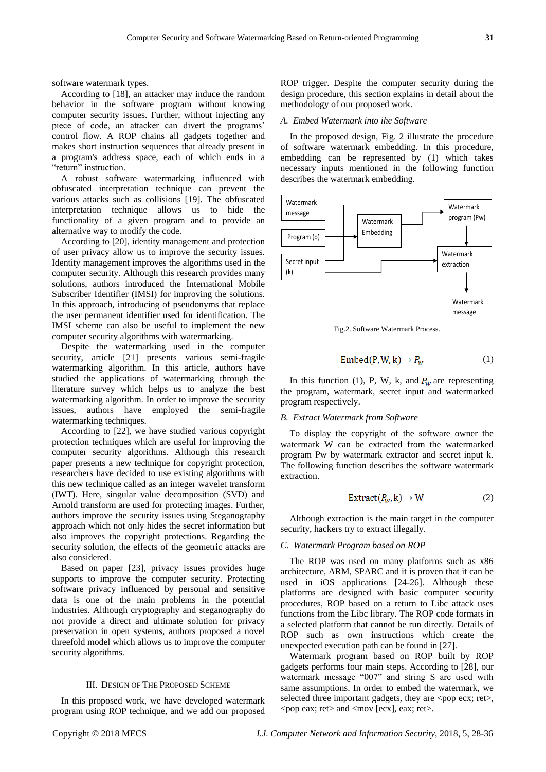software watermark types.

According to [18], an attacker may induce the random behavior in the software program without knowing computer security issues. Further, without injecting any piece of code, an attacker can divert the programs' control flow. A ROP chains all gadgets together and makes short instruction sequences that already present in a program's address space, each of which ends in a "return" instruction.

A robust software watermarking influenced with obfuscated interpretation technique can prevent the various attacks such as collisions [19]. The obfuscated interpretation technique allows us to hide the functionality of a given program and to provide an alternative way to modify the code.

According to [20], identity management and protection of user privacy allow us to improve the security issues. Identity management improves the algorithms used in the computer security. Although this research provides many solutions, authors introduced the International Mobile Subscriber Identifier (IMSI) for improving the solutions. In this approach, introducing of pseudonyms that replace the user permanent identifier used for identification. The IMSI scheme can also be useful to implement the new computer security algorithms with watermarking.

Despite the watermarking used in the computer security, article [21] presents various semi-fragile watermarking algorithm. In this article, authors have studied the applications of watermarking through the literature survey which helps us to analyze the best watermarking algorithm. In order to improve the security issues, authors have employed the semi-fragile watermarking techniques.

According to [22], we have studied various copyright protection techniques which are useful for improving the computer security algorithms. Although this research paper presents a new technique for copyright protection, researchers have decided to use existing algorithms with this new technique called as an integer wavelet transform (IWT). Here, singular value decomposition (SVD) and Arnold transform are used for protecting images. Further, authors improve the security issues using Steganography approach which not only hides the secret information but also improves the copyright protections. Regarding the security solution, the effects of the geometric attacks are also considered.

Based on paper [23], privacy issues provides huge supports to improve the computer security. Protecting software privacy influenced by personal and sensitive data is one of the main problems in the potential industries. Although cryptography and steganography do not provide a direct and ultimate solution for privacy preservation in open systems, authors proposed a novel threefold model which allows us to improve the computer security algorithms.

#### III. DESIGN OF THE PROPOSED SCHEME

In this proposed work, we have developed watermark program using ROP technique, and we add our proposed ROP trigger. Despite the computer security during the design procedure, this section explains in detail about the methodology of our proposed work.

#### *A. Embed Watermark into ihe Software*

In the proposed design, Fig. 2 illustrate the procedure of software watermark embedding. In this procedure, embedding can be represented by (1) which takes necessary inputs mentioned in the following function describes the watermark embedding.



Fig.2. Software Watermark Process.

$$
Embed(P, W, k) \rightarrow P_w
$$
 (1)

In this function (1), P, W, k, and  $P_w$  are representing the program, watermark, secret input and watermarked program respectively.

## *B. Extract Watermark from Software*

To display the copyright of the software owner the watermark W can be extracted from the watermarked program Pw by watermark extractor and secret input k. The following function describes the software watermark extraction.

$$
Extract(P_{w},k)\rightarrow W
$$
 (2)

Although extraction is the main target in the computer security, hackers try to extract illegally.

#### *C. Watermark Program based on ROP*

The ROP was used on many platforms such as x86 architecture, ARM, SPARC and it is proven that it can be used in iOS applications [24-26]. Although these platforms are designed with basic computer security procedures, ROP based on a return to Libc attack uses functions from the Libc library. The ROP code formats in a selected platform that cannot be run directly. Details of ROP such as own instructions which create the unexpected execution path can be found in [27].

Watermark program based on ROP built by ROP gadgets performs four main steps. According to [28], our watermark message "007" and string S are used with same assumptions. In order to embed the watermark, we selected three important gadgets, they are <pop ecx; ret>,  $\langle$  = pop eax; ret  $>$  and  $\langle$  mov [ecx], eax; ret $>$ .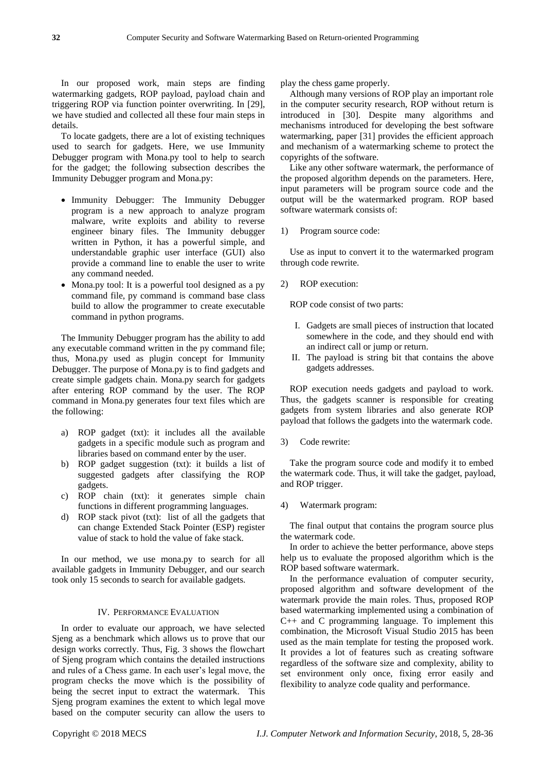In our proposed work, main steps are finding watermarking gadgets, ROP payload, payload chain and triggering ROP via function pointer overwriting. In [29], we have studied and collected all these four main steps in details.

To locate gadgets, there are a lot of existing techniques used to search for gadgets. Here, we use Immunity Debugger program with Mona.py tool to help to search for the gadget; the following subsection describes the Immunity Debugger program and Mona.py:

- Immunity Debugger: The Immunity Debugger program is a new approach to analyze program malware, write exploits and ability to reverse engineer binary files. The Immunity debugger written in Python, it has a powerful simple, and understandable graphic user interface (GUI) also provide a command line to enable the user to write any command needed.
- Mona.py tool: It is a powerful tool designed as a py command file, py command is command base class build to allow the programmer to create executable command in python programs.

The Immunity Debugger program has the ability to add any executable command written in the py command file; thus, Mona.py used as plugin concept for Immunity Debugger. The purpose of Mona.py is to find gadgets and create simple gadgets chain. Mona.py search for gadgets after entering ROP command by the user. The ROP command in Mona.py generates four text files which are the following:

- a) ROP gadget (txt): it includes all the available gadgets in a specific module such as program and libraries based on command enter by the user.
- b) ROP gadget suggestion (txt): it builds a list of suggested gadgets after classifying the ROP gadgets.
- c) ROP chain (txt): it generates simple chain functions in different programming languages.
- d) ROP stack pivot (txt): list of all the gadgets that can change Extended Stack Pointer (ESP) register value of stack to hold the value of fake stack.

In our method, we use mona.py to search for all available gadgets in Immunity Debugger, and our search took only 15 seconds to search for available gadgets.

# IV. PERFORMANCE EVALUATION

In order to evaluate our approach, we have selected Sjeng as a benchmark which allows us to prove that our design works correctly. Thus, Fig. 3 shows the flowchart of Sjeng program which contains the detailed instructions and rules of a Chess game. In each user's legal move, the program checks the move which is the possibility of being the secret input to extract the watermark. This Sjeng program examines the extent to which legal move based on the computer security can allow the users to

play the chess game properly.

Although many versions of ROP play an important role in the computer security research, ROP without return is introduced in [30]. Despite many algorithms and mechanisms introduced for developing the best software watermarking, paper [31] provides the efficient approach and mechanism of a watermarking scheme to protect the copyrights of the software.

Like any other software watermark, the performance of the proposed algorithm depends on the parameters. Here, input parameters will be program source code and the output will be the watermarked program. ROP based software watermark consists of:

1) Program source code:

Use as input to convert it to the watermarked program through code rewrite.

2) ROP execution:

ROP code consist of two parts:

- I. Gadgets are small pieces of instruction that located somewhere in the code, and they should end with an indirect call or jump or return.
- II. The payload is string bit that contains the above gadgets addresses.

ROP execution needs gadgets and payload to work. Thus, the gadgets scanner is responsible for creating gadgets from system libraries and also generate ROP payload that follows the gadgets into the watermark code.

3) Code rewrite:

Take the program source code and modify it to embed the watermark code. Thus, it will take the gadget, payload, and ROP trigger.

## 4) Watermark program:

The final output that contains the program source plus the watermark code.

In order to achieve the better performance, above steps help us to evaluate the proposed algorithm which is the ROP based software watermark.

In the performance evaluation of computer security, proposed algorithm and software development of the watermark provide the main roles. Thus, proposed ROP based watermarking implemented using a combination of C++ and C programming language. To implement this combination, the Microsoft Visual Studio 2015 has been used as the main template for testing the proposed work. It provides a lot of features such as creating software regardless of the software size and complexity, ability to set environment only once, fixing error easily and flexibility to analyze code quality and performance.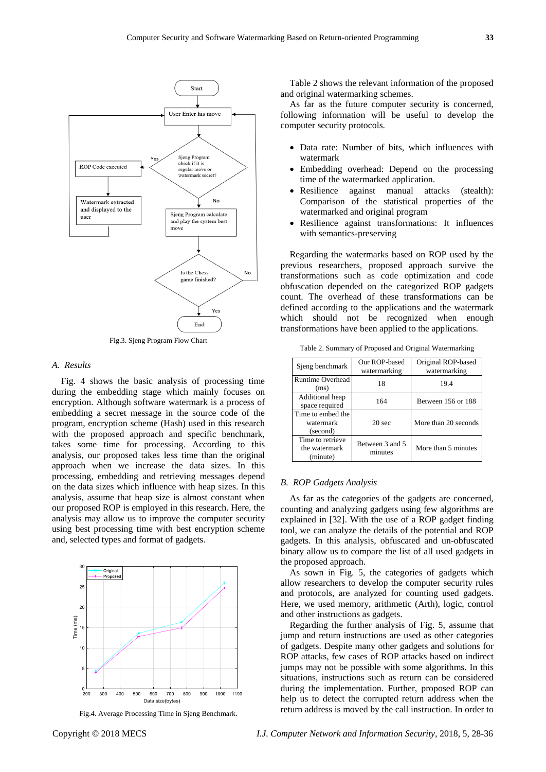

Fig.3. Sjeng Program Flow Chart

#### *A. Results*

Fig. 4 shows the basic analysis of processing time during the embedding stage which mainly focuses on encryption. Although software watermark is a process of embedding a secret message in the source code of the program, encryption scheme (Hash) used in this research with the proposed approach and specific benchmark, takes some time for processing. According to this analysis, our proposed takes less time than the original approach when we increase the data sizes. In this processing, embedding and retrieving messages depend on the data sizes which influence with heap sizes. In this analysis, assume that heap size is almost constant when our proposed ROP is employed in this research. Here, the analysis may allow us to improve the computer security using best processing time with best encryption scheme and, selected types and format of gadgets.



Fig.4. Average Processing Time in Sjeng Benchmark.

Table 2 shows the relevant information of the proposed and original watermarking schemes.

As far as the future computer security is concerned, following information will be useful to develop the computer security protocols.

- Data rate: Number of bits, which influences with watermark
- Embedding overhead: Depend on the processing time of the watermarked application.
- Resilience against manual attacks (stealth): Comparison of the statistical properties of the watermarked and original program
- Resilience against transformations: It influences with semantics-preserving

Regarding the watermarks based on ROP used by the previous researchers, proposed approach survive the transformations such as code optimization and code obfuscation depended on the categorized ROP gadgets count. The overhead of these transformations can be defined according to the applications and the watermark which should not be recognized when enough transformations have been applied to the applications.

| Sjeng benchmark                               | Our ROP-based<br>watermarking | Original ROP-based<br>watermarking |  |  |
|-----------------------------------------------|-------------------------------|------------------------------------|--|--|
| <b>Runtime Overhead</b><br>(ms)               | 18                            | 19.4                               |  |  |
| Additional heap<br>space required             | 164                           | Between 156 or 188                 |  |  |
| Time to embed the<br>watermark<br>(second)    | 20 <sub>sec</sub>             | More than 20 seconds               |  |  |
| Time to retrieve<br>the watermark<br>(minute) | Between 3 and 5<br>minutes    | More than 5 minutes                |  |  |

Table 2. Summary of Proposed and Original Watermarking

#### *B. ROP Gadgets Analysis*

As far as the categories of the gadgets are concerned, counting and analyzing gadgets using few algorithms are explained in [32]. With the use of a ROP gadget finding tool, we can analyze the details of the potential and ROP gadgets. In this analysis, obfuscated and un-obfuscated binary allow us to compare the list of all used gadgets in the proposed approach.

As sown in Fig. 5, the categories of gadgets which allow researchers to develop the computer security rules and protocols, are analyzed for counting used gadgets. Here, we used memory, arithmetic (Arth), logic, control and other instructions as gadgets.

Regarding the further analysis of Fig. 5, assume that jump and return instructions are used as other categories of gadgets. Despite many other gadgets and solutions for ROP attacks, few cases of ROP attacks based on indirect jumps may not be possible with some algorithms. In this situations, instructions such as return can be considered during the implementation. Further, proposed ROP can help us to detect the corrupted return address when the return address is moved by the call instruction. In order to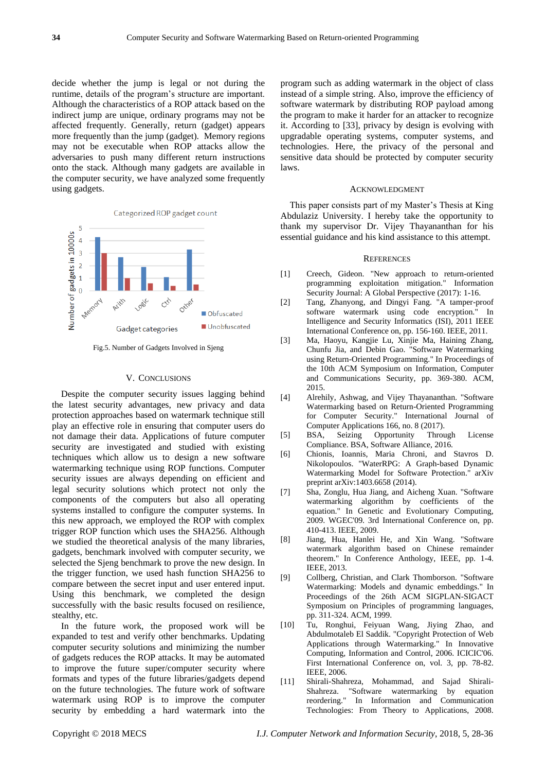decide whether the jump is legal or not during the runtime, details of the program's structure are important. Although the characteristics of a ROP attack based on the indirect jump are unique, ordinary programs may not be affected frequently. Generally, return (gadget) appears more frequently than the jump (gadget). Memory regions may not be executable when ROP attacks allow the adversaries to push many different return instructions onto the stack. Although many gadgets are available in the computer security, we have analyzed some frequently using gadgets.



Fig.5. Number of Gadgets Involved in Sjeng

#### V. CONCLUSIONS

Despite the computer security issues lagging behind the latest security advantages, new privacy and data protection approaches based on watermark technique still play an effective role in ensuring that computer users do not damage their data. Applications of future computer security are investigated and studied with existing techniques which allow us to design a new software watermarking technique using ROP functions. Computer security issues are always depending on efficient and legal security solutions which protect not only the components of the computers but also all operating systems installed to configure the computer systems. In this new approach, we employed the ROP with complex trigger ROP function which uses the SHA256. Although we studied the theoretical analysis of the many libraries, gadgets, benchmark involved with computer security, we selected the Sjeng benchmark to prove the new design. In the trigger function, we used hash function SHA256 to compare between the secret input and user entered input. Using this benchmark, we completed the design successfully with the basic results focused on resilience, stealthy, etc.

In the future work, the proposed work will be expanded to test and verify other benchmarks. Updating computer security solutions and minimizing the number of gadgets reduces the ROP attacks. It may be automated to improve the future super/computer security where formats and types of the future libraries/gadgets depend on the future technologies. The future work of software watermark using ROP is to improve the computer security by embedding a hard watermark into the

program such as adding watermark in the object of class instead of a simple string. Also, improve the efficiency of software watermark by distributing ROP payload among the program to make it harder for an attacker to recognize it. According to [33], privacy by design is evolving with upgradable operating systems, computer systems, and technologies. Here, the privacy of the personal and sensitive data should be protected by computer security laws.

#### ACKNOWLEDGMENT

This paper consists part of my Master's Thesis at King Abdulaziz University. I hereby take the opportunity to thank my supervisor Dr. Vijey Thayananthan for his essential guidance and his kind assistance to this attempt.

#### **REFERENCES**

- [1] Creech, Gideon. "New approach to return-oriented programming exploitation mitigation." Information Security Journal: A Global Perspective (2017): 1-16.
- [2] Tang, Zhanyong, and Dingyi Fang. "A tamper-proof software watermark using code encryption." In Intelligence and Security Informatics (ISI), 2011 IEEE International Conference on, pp. 156-160. IEEE, 2011.
- [3] Ma, Haoyu, Kangjie Lu, Xinjie Ma, Haining Zhang, Chunfu Jia, and Debin Gao. "Software Watermarking using Return-Oriented Programming." In Proceedings of the 10th ACM Symposium on Information, Computer and Communications Security, pp. 369-380. ACM, 2015.
- [4] Alrehily, Ashwag, and Vijey Thayananthan. "Software Watermarking based on Return-Oriented Programming for Computer Security." International Journal of Computer Applications 166, no. 8 (2017).
- [5] BSA, Seizing Opportunity Through License Compliance. BSA, Software Alliance, 2016.
- [6] Chionis, Ioannis, Maria Chroni, and Stavros D. Nikolopoulos. "WaterRPG: A Graph-based Dynamic Watermarking Model for Software Protection." arXiv preprint arXiv:1403.6658 (2014).
- [7] Sha, Zonglu, Hua Jiang, and Aicheng Xuan. "Software watermarking algorithm by coefficients of the equation." In Genetic and Evolutionary Computing, 2009. WGEC'09. 3rd International Conference on, pp. 410-413. IEEE, 2009.
- [8] Jiang, Hua, Hanlei He, and Xin Wang. "Software watermark algorithm based on Chinese remainder theorem." In Conference Anthology, IEEE, pp. 1-4. IEEE, 2013.
- [9] Collberg, Christian, and Clark Thomborson. "Software Watermarking: Models and dynamic embeddings." In Proceedings of the 26th ACM SIGPLAN-SIGACT Symposium on Principles of programming languages, pp. 311-324. ACM, 1999.
- [10] Tu, Ronghui, Feiyuan Wang, Jiying Zhao, and Abdulmotaleb El Saddik. "Copyright Protection of Web Applications through Watermarking." In Innovative Computing, Information and Control, 2006. ICICIC'06. First International Conference on, vol. 3, pp. 78-82. IEEE, 2006.
- [11] Shirali-Shahreza, Mohammad, and Sajad Shirali-Shahreza. "Software watermarking by equation reordering." In Information and Communication Technologies: From Theory to Applications, 2008.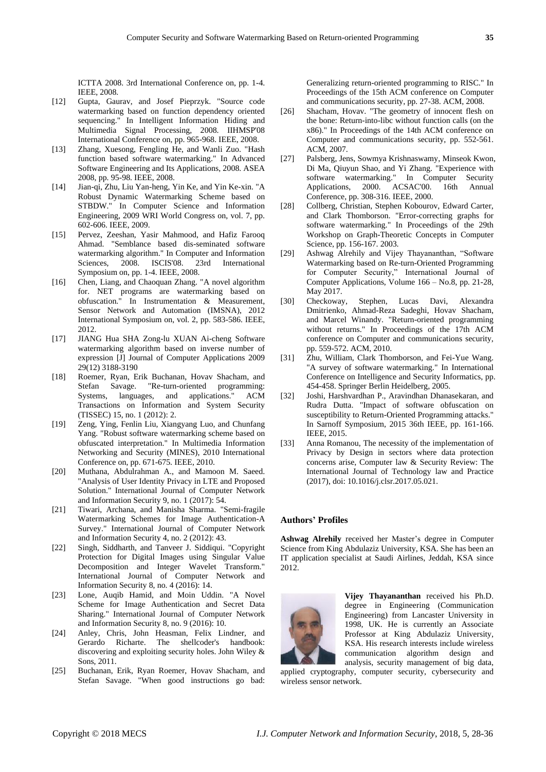ICTTA 2008. 3rd International Conference on, pp. 1-4. IEEE, 2008.

- [12] Gupta, Gaurav, and Josef Pieprzyk. "Source code watermarking based on function dependency oriented sequencing." In Intelligent Information Hiding and Multimedia Signal Processing, 2008. IIHMSP'08 International Conference on, pp. 965-968. IEEE, 2008.
- [13] Zhang, Xuesong, Fengling He, and Wanli Zuo. "Hash function based software watermarking." In Advanced Software Engineering and Its Applications, 2008. ASEA 2008, pp. 95-98. IEEE, 2008.
- [14] Jian-qi, Zhu, Liu Yan-heng, Yin Ke, and Yin Ke-xin. "A Robust Dynamic Watermarking Scheme based on STBDW." In Computer Science and Information Engineering, 2009 WRI World Congress on, vol. 7, pp. 602-606. IEEE, 2009.
- [15] Pervez, Zeeshan, Yasir Mahmood, and Hafiz Farooq Ahmad. "Semblance based dis-seminated software watermarking algorithm." In Computer and Information Sciences, 2008. ISCIS'08. 23rd International Symposium on, pp. 1-4. IEEE, 2008.
- [16] Chen, Liang, and Chaoquan Zhang. "A novel algorithm for. NET programs are watermarking based on obfuscation." In Instrumentation & Measurement, Sensor Network and Automation (IMSNA), 2012 International Symposium on, vol. 2, pp. 583-586. IEEE, 2012.
- [17] JIANG Hua SHA Zong-lu XUAN Ai-cheng Software watermarking algorithm based on inverse number of expression [J] Journal of Computer Applications 2009 29(12) 3188-3190
- [18] Roemer, Ryan, Erik Buchanan, Hovav Shacham, and Stefan Savage. "Re-turn-oriented programming: Systems, languages, and applications." ACM Transactions on Information and System Security (TISSEC) 15, no. 1 (2012): 2.
- [19] Zeng, Ying, Fenlin Liu, Xiangyang Luo, and Chunfang Yang. "Robust software watermarking scheme based on obfuscated interpretation." In Multimedia Information Networking and Security (MINES), 2010 International Conference on, pp. 671-675. IEEE, 2010.
- [20] Muthana, Abdulrahman A., and Mamoon M. Saeed. "Analysis of User Identity Privacy in LTE and Proposed Solution." International Journal of Computer Network and Information Security 9, no. 1 (2017): 54.
- [21] Tiwari, Archana, and Manisha Sharma. "Semi-fragile Watermarking Schemes for Image Authentication-A Survey." International Journal of Computer Network and Information Security 4, no. 2 (2012): 43.
- [22] Singh, Siddharth, and Tanveer J. Siddiqui. "Copyright Protection for Digital Images using Singular Value Decomposition and Integer Wavelet Transform." International Journal of Computer Network and Information Security 8, no. 4 (2016): 14.
- [23] Lone, Auqib Hamid, and Moin Uddin. "A Novel Scheme for Image Authentication and Secret Data Sharing." International Journal of Computer Network and Information Security 8, no. 9 (2016): 10.
- [24] Anley, Chris, John Heasman, Felix Lindner, and Gerardo Richarte. The shellcoder's handbook: discovering and exploiting security holes. John Wiley & Sons, 2011.
- [25] Buchanan, Erik, Ryan Roemer, Hovav Shacham, and Stefan Savage. "When good instructions go bad:

Generalizing return-oriented programming to RISC." In Proceedings of the 15th ACM conference on Computer and communications security, pp. 27-38. ACM, 2008.

- [26] Shacham, Hovav. "The geometry of innocent flesh on the bone: Return-into-libc without function calls (on the x86)." In Proceedings of the 14th ACM conference on Computer and communications security, pp. 552-561. ACM, 2007.
- [27] Palsberg, Jens, Sowmya Krishnaswamy, Minseok Kwon, Di Ma, Qiuyun Shao, and Yi Zhang. "Experience with software watermarking." In Computer Security Applications, 2000. ACSAC'00. 16th Annual Conference, pp. 308-316. IEEE, 2000.
- [28] Collberg, Christian, Stephen Kobourov, Edward Carter, and Clark Thomborson. "Error-correcting graphs for software watermarking." In Proceedings of the 29th Workshop on Graph-Theoretic Concepts in Computer Science, pp. 156-167. 2003.
- [29] Ashwag Alrehily and Vijey Thayananthan, "Software Watermarking based on Re-turn-Oriented Programming for Computer Security," International Journal of Computer Applications, Volume 166 – No.8, pp. 21-28, May 2017.
- [30] Checkoway, Stephen, Lucas Davi, Alexandra Dmitrienko, Ahmad-Reza Sadeghi, Hovav Shacham, and Marcel Winandy. "Return-oriented programming without returns." In Proceedings of the 17th ACM conference on Computer and communications security, pp. 559-572. ACM, 2010.
- [31] Zhu, William, Clark Thomborson, and Fei-Yue Wang. "A survey of software watermarking." In International Conference on Intelligence and Security Informatics, pp. 454-458. Springer Berlin Heidelberg, 2005.
- [32] Joshi, Harshvardhan P., Aravindhan Dhanasekaran, and Rudra Dutta. "Impact of software obfuscation on susceptibility to Return-Oriented Programming attacks." In Sarnoff Symposium, 2015 36th IEEE, pp. 161-166. IEEE, 2015.
- [33] Anna Romanou, The necessity of the implementation of Privacy by Design in sectors where data protection concerns arise, Computer law & Security Review: The International Journal of Technology law and Practice (2017), doi: 10.1016/j.clsr.2017.05.021.

#### **Authors' Profiles**

**Ashwag Alrehily** received her Master's degree in Computer Science from King Abdulaziz University, KSA. She has been an IT application specialist at Saudi Airlines, Jeddah, KSA since 2012.



**Vijey Thayananthan** received his Ph.D. degree in Engineering (Communication Engineering) from Lancaster University in 1998, UK. He is currently an Associate Professor at King Abdulaziz University, KSA. His research interests include wireless communication algorithm design and analysis, security management of big data,

applied cryptography, computer security, cybersecurity and wireless sensor network.